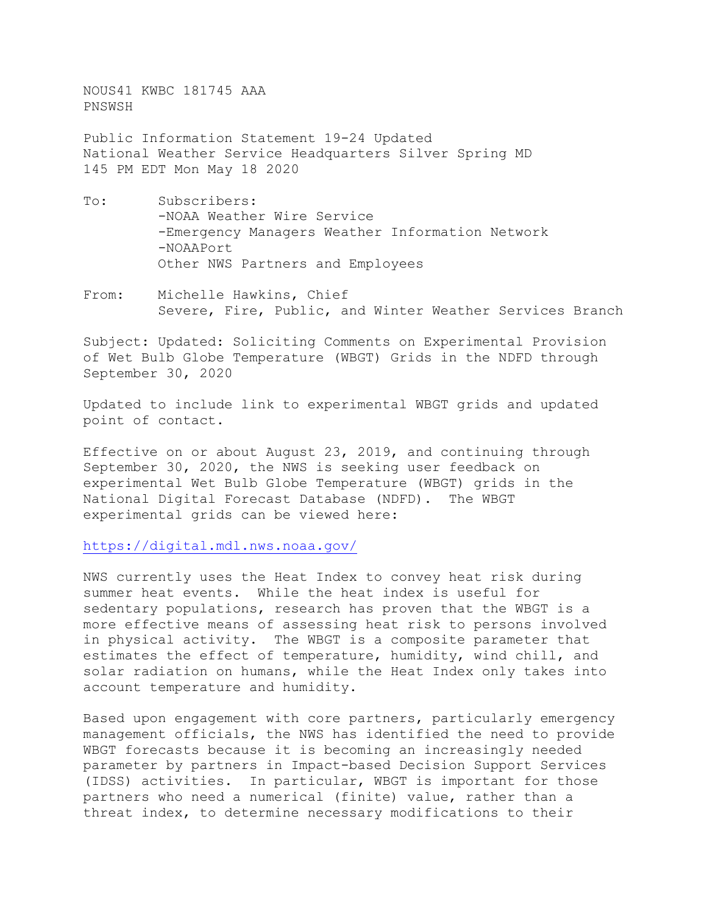NOUS41 KWBC 181745 AAA PNSWSH

Public Information Statement 19-24 Updated National Weather Service Headquarters Silver Spring MD 145 PM EDT Mon May 18 2020

- To: Subscribers: -NOAA Weather Wire Service -Emergency Managers Weather Information Network -NOAAPort Other NWS Partners and Employees
- From: Michelle Hawkins, Chief Severe, Fire, Public, and Winter Weather Services Branch

Subject: Updated: Soliciting Comments on Experimental Provision of Wet Bulb Globe Temperature (WBGT) Grids in the NDFD through September 30, 2020

Updated to include link to experimental WBGT grids and updated point of contact.

Effective on or about August 23, 2019, and continuing through September 30, 2020, the NWS is seeking user feedback on experimental Wet Bulb Globe Temperature (WBGT) grids in the<br>National Digital Forecast Database (NDFD). The WBGT National Digital Forecast Database (NDFD). experimental grids can be viewed here:

<https://digital.mdl.nws.noaa.gov/>

NWS currently uses the Heat Index to convey heat risk during summer heat events. While the heat index is useful for sedentary populations, research has proven that the WBGT is a more effective means of assessing heat risk to persons involved in physical activity. The WBGT is a composite parameter that estimates the effect of temperature, humidity, wind chill, and solar radiation on humans, while the Heat Index only takes into account temperature and humidity.

Based upon engagement with core partners, particularly emergency management officials, the NWS has identified the need to provide WBGT forecasts because it is becoming an increasingly needed parameter by partners in Impact-based Decision Support Services (IDSS) activities. In particular, WBGT is important for those partners who need a numerical (finite) value, rather than a threat index, to determine necessary modifications to their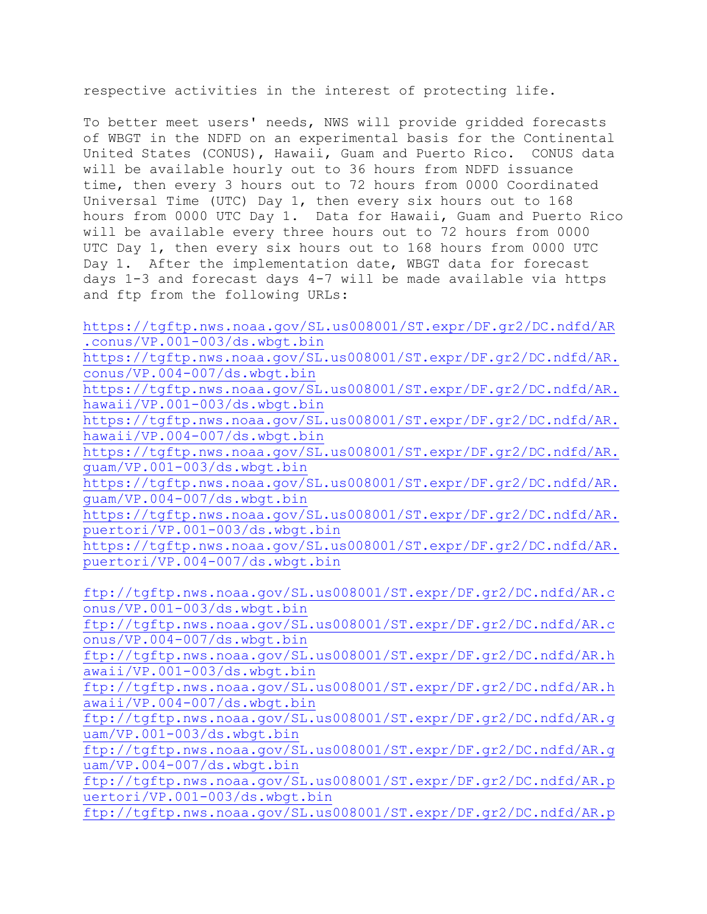respective activities in the interest of protecting life.

To better meet users' needs, NWS will provide gridded forecasts of WBGT in the NDFD on an experimental basis for the Continental United States (CONUS), Hawaii, Guam and Puerto Rico. CONUS data will be available hourly out to 36 hours from NDFD issuance time, then every 3 hours out to 72 hours from 0000 Coordinated Universal Time (UTC) Day 1, then every six hours out to 168 hours from 0000 UTC Day 1. Data for Hawaii, Guam and Puerto Rico will be available every three hours out to 72 hours from 0000 UTC Day 1, then every six hours out to 168 hours from 0000 UTC Day 1. After the implementation date, WBGT data for forecast days 1-3 and forecast days 4-7 will be made available via https and ftp from the following URLs:

| https://tgftp.nws.noaa.gov/SL.us008001/ST.expr/DF.gr2/DC.ndfd/AR                                   |
|----------------------------------------------------------------------------------------------------|
| .conus/VP.001-003/ds.wbqt.bin                                                                      |
| https://tgftp.nws.noaa.gov/SL.us008001/ST.expr/DF.gr2/DC.ndfd/AR.                                  |
| conus/VP.004-007/ds.wbgt.bin                                                                       |
| https://tgftp.nws.noaa.gov/SL.us008001/ST.expr/DF.gr2/DC.ndfd/AR.                                  |
| hawaii/VP.001-003/ds.wbqt.bin                                                                      |
| https://tgftp.nws.noaa.gov/SL.us008001/ST.expr/DF.gr2/DC.ndfd/AR.                                  |
| hawaii/VP.004-007/ds.wbqt.bin                                                                      |
| https://tgftp.nws.noaa.gov/SL.us008001/ST.expr/DF.gr2/DC.ndfd/AR.                                  |
| guam/VP.001-003/ds.wbgt.bin                                                                        |
| https://tgftp.nws.noaa.gov/SL.us008001/ST.expr/DF.gr2/DC.ndfd/AR.                                  |
| quam/VP.004-007/ds.wbgt.bin                                                                        |
| https://tgftp.nws.noaa.gov/SL.us008001/ST.expr/DF.gr2/DC.ndfd/AR.                                  |
| puertori/VP.001-003/ds.wbgt.bin                                                                    |
| https://tgftp.nws.noaa.gov/SL.us008001/ST.expr/DF.gr2/DC.ndfd/AR.                                  |
| puertori/VP.004-007/ds.wbgt.bin                                                                    |
|                                                                                                    |
|                                                                                                    |
| ftp://tgftp.nws.noaa.gov/SL.us008001/ST.expr/DF.gr2/DC.ndfd/AR.c                                   |
| onus/VP.001-003/ds.wbqt.bin                                                                        |
| ftp://tgftp.nws.noaa.gov/SL.us008001/ST.expr/DF.gr2/DC.ndfd/AR.c                                   |
| onus/VP.004-007/ds.wbgt.bin                                                                        |
| ftp://tgftp.nws.noaa.gov/SL.us008001/ST.expr/DF.gr2/DC.ndfd/AR.h                                   |
| awaii/VP.001-003/ds.wbqt.bin                                                                       |
| ftp://tgftp.nws.noaa.gov/SL.us008001/ST.expr/DF.gr2/DC.ndfd/AR.h                                   |
| awaii/VP.004-007/ds.wbqt.bin                                                                       |
| ftp://tgftp.nws.noaa.gov/SL.us008001/ST.expr/DF.gr2/DC.ndfd/AR.g                                   |
| uam/VP.001-003/ds.wbqt.bin                                                                         |
| ftp://tgftp.nws.noaa.gov/SL.us008001/ST.expr/DF.gr2/DC.ndfd/AR.g                                   |
| uam/VP.004-007/ds.wbqt.bin                                                                         |
| ftp://tgftp.nws.noaa.gov/SL.us008001/ST.expr/DF.gr2/DC.ndfd/AR.p                                   |
| uertori/VP.001-003/ds.wbqt.bin<br>ftp://tgftp.nws.noaa.gov/SL.us008001/ST.expr/DF.gr2/DC.ndfd/AR.p |